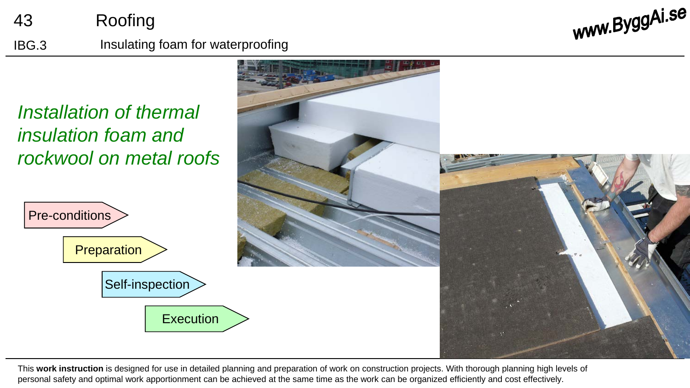## 43 Roofing IBG.3 Insulating foam for waterproofing

www.ByggAi.se

*Installation of thermal insulation foam and rockwool on metal roofs*





This **work instruction** is designed for use in detailed planning and preparation of work on construction projects. With thorough planning high levels of personal safety and optimal work apportionment can be achieved at the same time as the work can be organized efficiently and cost effectively.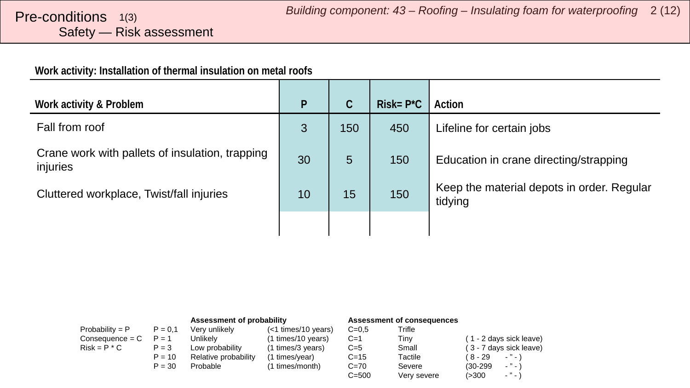# <span id="page-1-0"></span>Safety — Risk assessment

#### **Work activity: Installation of thermal insulation on metal roofs**

| Work activity & Problem                                     | P  | C   | $Risk = P^*C$ | Action                                                |
|-------------------------------------------------------------|----|-----|---------------|-------------------------------------------------------|
| Fall from roof                                              | 3  | 150 | 450           | Lifeline for certain jobs                             |
| Crane work with pallets of insulation, trapping<br>injuries | 30 | 5   | 150           | Education in crane directing/strapping                |
| Cluttered workplace, Twist/fall injuries                    | 10 | 15  | 150           | Keep the material depots in order. Regular<br>tidying |
|                                                             |    |     |               |                                                       |

|                   |           | Assessment of probability |                     | Assessment of consequences |             |                                        |
|-------------------|-----------|---------------------------|---------------------|----------------------------|-------------|----------------------------------------|
| Probability = $P$ | $P = 0.1$ | Very unlikely             | (<1 times/10 years) | $C = 0.5$                  | Trifle      |                                        |
| $Consequence = C$ | $P = 1$   | Unlikelv                  | (1 times/10 years)  | $C=1$                      | Tiny        | (1 - 2 days sick leave)                |
| $Risk = P * C$    | $P = 3$   | Low probability           | (1 times/3 years)   | $C=5$                      | Small       | (3 - 7 days sick leave)                |
|                   | $P = 10$  | Relative probability      | (1 times/year)      | $C = 15$                   | Tactile     | ( 8 - 29<br>$\cdots$                   |
|                   | $P = 30$  | Probable                  | (1 times/month)     | $C = 70$                   | Severe      | $ "$ $ \lambda$<br>$(30-299)$          |
|                   |           |                           |                     | $C = 500$                  | Very severe | $\sim$ $^{10}$ $\sim$ $^{11}$<br>(>300 |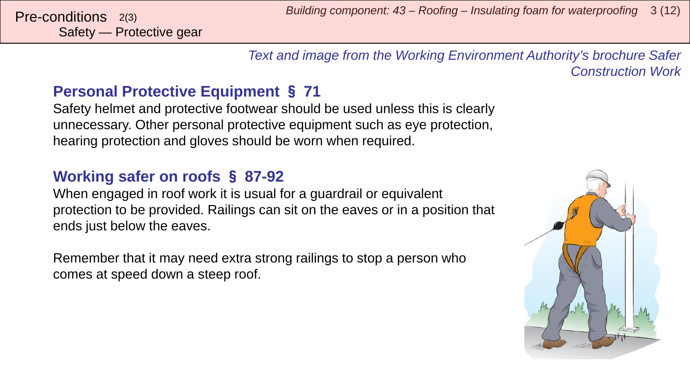*Text and image from the Working Environment Authority's brochure Safer Construction Work*

### **Personal Protective Equipment** § **71**

Safety helmet and protective footwear should be used unless this is clearly unnecessary. Other personal protective equipment such as eye protection, hearing protection and gloves should be worn when required.

### **Working safer on roofs** § **87-92**

When engaged in roof work it is usual for a guardrail or equivalent protection to be provided. Railings can sit on the eaves or in a position that ends just below the eaves.

Remember that it may need extra strong railings to stop a person who comes at speed down a steep roof.

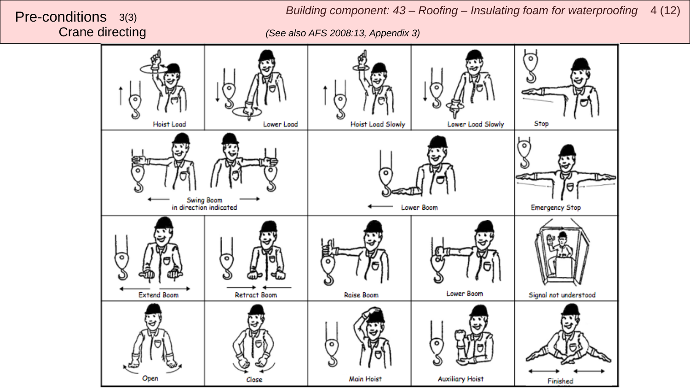*Building component: 43 – Roofing – Insulating foam for waterproofing*  <sup>4</sup> (12) Pre-conditions 3(3)

Crane directing *(See also AFS 2008:13, Appendix 3)*

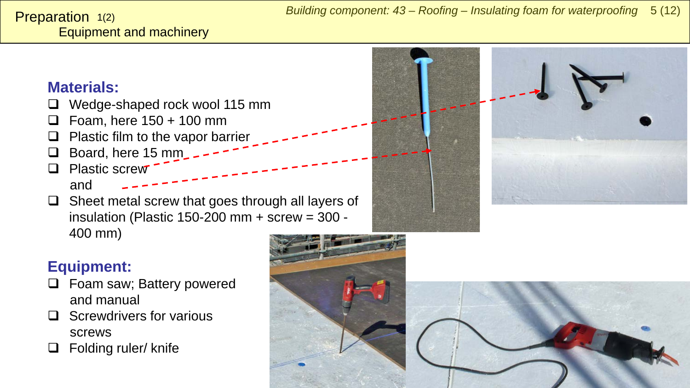#### <span id="page-4-0"></span>Equipment and machinery **Preparation**  $1(2)$

### **Materials:**

- Wedge-shaped rock wool 115 mm
- $\Box$  Foam, here 150 + 100 mm
- $\Box$  Plastic film to the vapor barrier
- Board, here 15 mm
- **Q** Plastic screw and
- $\Box$  Sheet metal screw that goes through all layers of insulation (Plastic 150-200 mm + screw = 300 - 400 mm)



### **Equipment:**

- □ Foam saw; Battery powered and manual
- $\Box$  Screwdrivers for various screws
- $\Box$  Folding ruler/ knife

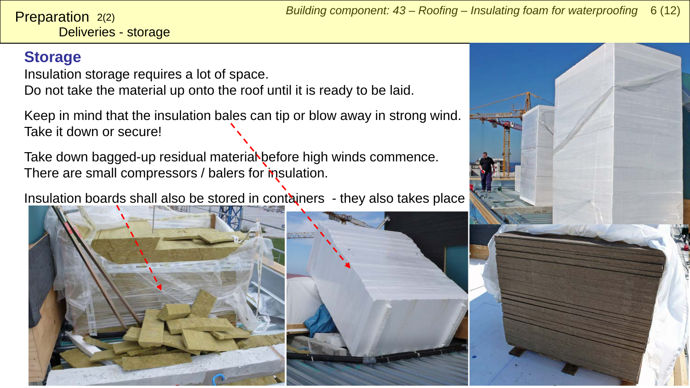Deliveries - storage **Preparation**  $2(2)$ 

### **Storage**

Insulation storage requires a lot of space.

Do not take the material up onto the roof until it is ready to be laid.

Keep in mind that the insulation bales can tip or blow away in strong wind. Take it down or secure!

Take down bagged-up residual materiaN before high winds commence. There are small compressors / balers for m sulation.

Insulation boards shall also be stored in containers - they also takes place



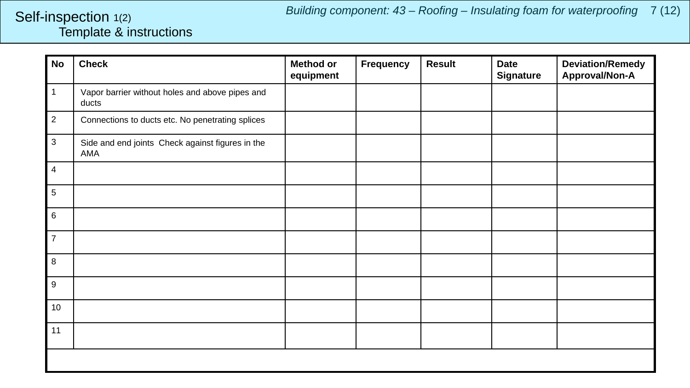#### <span id="page-6-0"></span>Template & instructions Self-inspection 1(2)

| <b>No</b>      | <b>Check</b>                                             | <b>Method or</b><br>equipment | <b>Frequency</b> | <b>Result</b> | <b>Date</b><br><b>Signature</b> | <b>Deviation/Remedy</b><br>Approval/Non-A |
|----------------|----------------------------------------------------------|-------------------------------|------------------|---------------|---------------------------------|-------------------------------------------|
| $\mathbf{1}$   | Vapor barrier without holes and above pipes and<br>ducts |                               |                  |               |                                 |                                           |
| $\overline{2}$ | Connections to ducts etc. No penetrating splices         |                               |                  |               |                                 |                                           |
| 3              | Side and end joints Check against figures in the<br>AMA  |                               |                  |               |                                 |                                           |
| $\overline{4}$ |                                                          |                               |                  |               |                                 |                                           |
| 5              |                                                          |                               |                  |               |                                 |                                           |
| 6              |                                                          |                               |                  |               |                                 |                                           |
| $\overline{7}$ |                                                          |                               |                  |               |                                 |                                           |
| 8              |                                                          |                               |                  |               |                                 |                                           |
| 9              |                                                          |                               |                  |               |                                 |                                           |
| 10             |                                                          |                               |                  |               |                                 |                                           |
| 11             |                                                          |                               |                  |               |                                 |                                           |
|                |                                                          |                               |                  |               |                                 |                                           |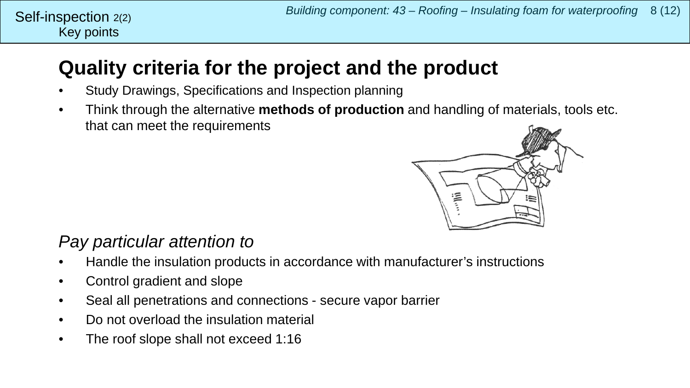#### Key points Self-inspection  $2(2)$

## **Quality criteria for the project and the product**

- Study Drawings, Specifications and Inspection planning
- Think through the alternative **methods of production** and handling of materials, tools etc. that can meet the requirements



### *Pay particular attention to*

- Handle the insulation products in accordance with manufacturer's instructions
- Control gradient and slope
- Seal all penetrations and connections secure vapor barrier
- Do not overload the insulation material
- The roof slope shall not exceed 1:16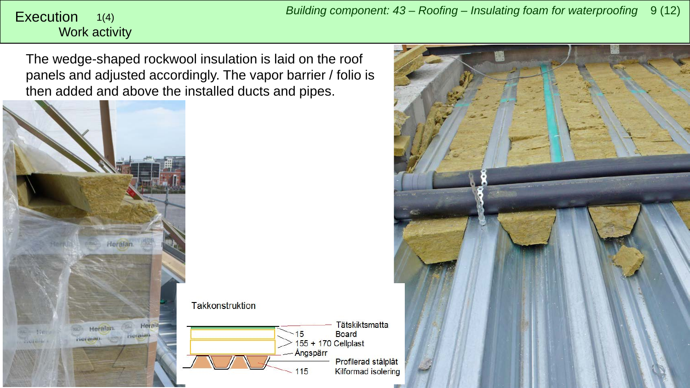#### <span id="page-8-0"></span>Work activity 1(4)

The wedge-shaped rockwool insulation is laid on the roof panels and adjusted accordingly. The vapor barrier / folio is then added and above the installed ducts and pipes.



**Takkonstruktion** 



**Tätskiktsmatta Board** Profilerad stålplåt Kilformad isolering

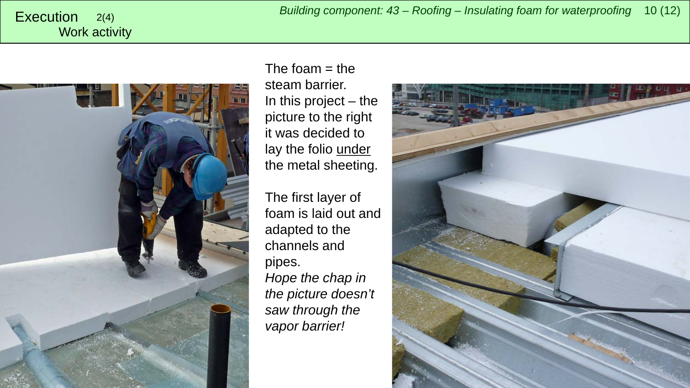*Building component: 43 – Roofing – Insulating foam for waterproofing* <sup>10</sup> (12) Execution 2(4)

# Work activity



The foam  $=$  the steam barrier. In this project – the picture to the right it was decided to lay the folio under the metal sheeting.

The first layer of foam is laid out and adapted to the channels and pipes. *Hope the chap in the picture doesn't saw through the vapor barrier!*

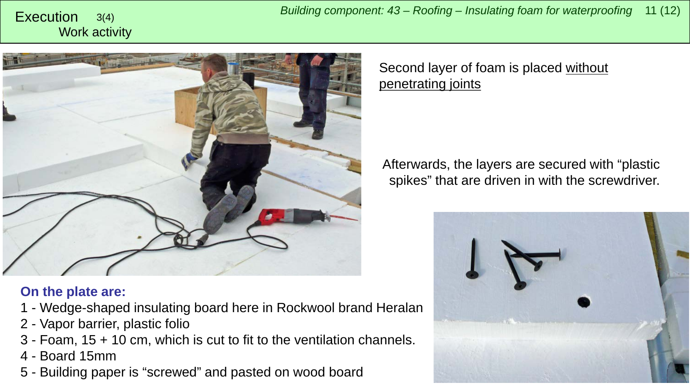*Building component: 43 – Roofing – Insulating foam for waterproofing* <sup>11</sup> (12) Execution 3(4)

# Work activity



#### **On the plate are:**

- 1 Wedge-shaped insulating board here in Rockwool brand Heralan
- 2 Vapor barrier, plastic folio
- 3 Foam, 15 + 10 cm, which is cut to fit to the ventilation channels.
- 4 Board 15mm
- 5 Building paper is "screwed" and pasted on wood board

Second layer of foam is placed without penetrating joints

Afterwards, the layers are secured with "plastic spikes" that are driven in with the screwdriver.